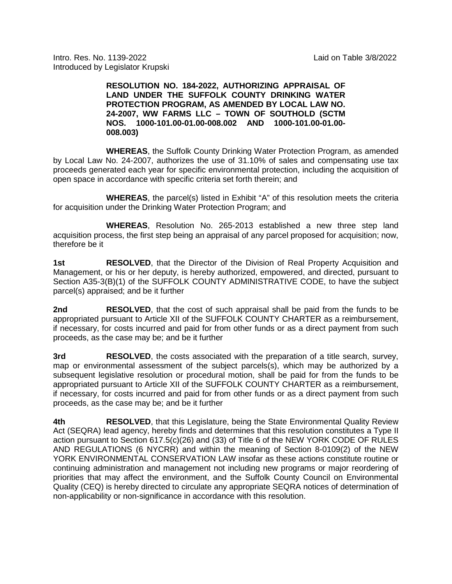Intro. Res. No. 1139-2022 Laid on Table 3/8/2022 Introduced by Legislator Krupski

## **RESOLUTION NO. 184-2022, AUTHORIZING APPRAISAL OF LAND UNDER THE SUFFOLK COUNTY DRINKING WATER PROTECTION PROGRAM, AS AMENDED BY LOCAL LAW NO. 24-2007, WW FARMS LLC – TOWN OF SOUTHOLD (SCTM NOS. 1000-101.00-01.00-008.002 AND 1000-101.00-01.00- 008.003)**

**WHEREAS**, the Suffolk County Drinking Water Protection Program, as amended by Local Law No. 24-2007, authorizes the use of 31.10% of sales and compensating use tax proceeds generated each year for specific environmental protection, including the acquisition of open space in accordance with specific criteria set forth therein; and

**WHEREAS**, the parcel(s) listed in Exhibit "A" of this resolution meets the criteria for acquisition under the Drinking Water Protection Program; and

**WHEREAS**, Resolution No. 265-2013 established a new three step land acquisition process, the first step being an appraisal of any parcel proposed for acquisition; now, therefore be it

**1st <b>RESOLVED**, that the Director of the Division of Real Property Acquisition and Management, or his or her deputy, is hereby authorized, empowered, and directed, pursuant to Section A35-3(B)(1) of the SUFFOLK COUNTY ADMINISTRATIVE CODE, to have the subject parcel(s) appraised; and be it further

**2nd RESOLVED**, that the cost of such appraisal shall be paid from the funds to be appropriated pursuant to Article XII of the SUFFOLK COUNTY CHARTER as a reimbursement, if necessary, for costs incurred and paid for from other funds or as a direct payment from such proceeds, as the case may be; and be it further

**3rd RESOLVED**, the costs associated with the preparation of a title search, survey, map or environmental assessment of the subject parcels(s), which may be authorized by a subsequent legislative resolution or procedural motion, shall be paid for from the funds to be appropriated pursuant to Article XII of the SUFFOLK COUNTY CHARTER as a reimbursement, if necessary, for costs incurred and paid for from other funds or as a direct payment from such proceeds, as the case may be; and be it further

**4th RESOLVED**, that this Legislature, being the State Environmental Quality Review Act (SEQRA) lead agency, hereby finds and determines that this resolution constitutes a Type II action pursuant to Section 617.5(c)(26) and (33) of Title 6 of the NEW YORK CODE OF RULES AND REGULATIONS (6 NYCRR) and within the meaning of Section 8-0109(2) of the NEW YORK ENVIRONMENTAL CONSERVATION LAW insofar as these actions constitute routine or continuing administration and management not including new programs or major reordering of priorities that may affect the environment, and the Suffolk County Council on Environmental Quality (CEQ) is hereby directed to circulate any appropriate SEQRA notices of determination of non-applicability or non-significance in accordance with this resolution.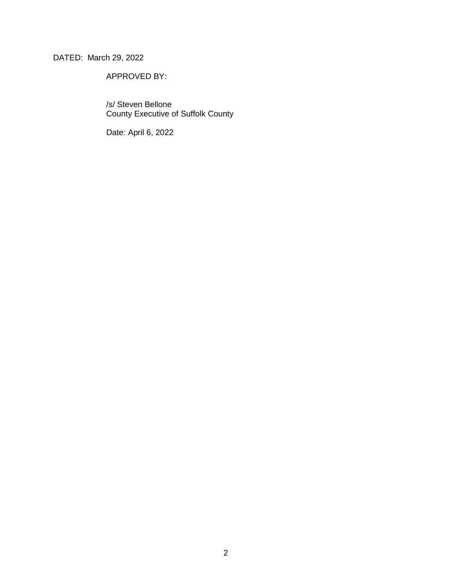DATED: March 29, 2022

APPROVED BY:

/s/ Steven Bellone County Executive of Suffolk County

Date: April 6, 2022